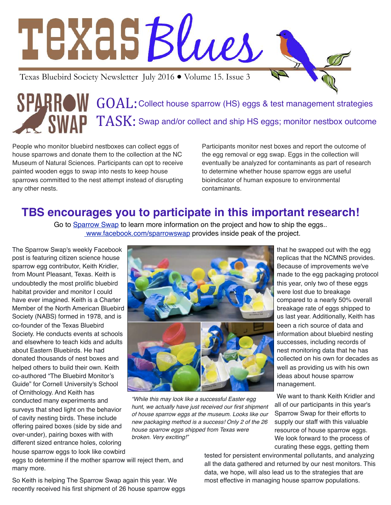# TEXASBlues Texas Bluebird Society Newsletter July 2016 ● Volume 15. Issue 3

GOAL: Collect house sparrow (HS) eggs & test management strategies  $TASK:$  Swap and/or collect and ship HS eggs; monitor nestbox outcome

People who monitor bluebird nestboxes can collect eggs of house sparrows and donate them to the collection at the NC Museum of Natural Sciences. Participants can opt to receive painted wooden eggs to swap into nests to keep house sparrows committed to the nest attempt instead of disrupting any other nests.

Participants monitor nest boxes and report the outcome of the egg removal or egg swap. Eggs in the collection will eventually be analyzed for contaminants as part of research to determine whether house sparrow eggs are useful bioindicator of human exposure to environmental contaminants.

#### **TBS encourages you to participate in this important research!**

Go to [Sparrow Swap](http://scistarter.com/project/1380-Sparrow%20Swap) to learn more information on the project and how to ship the eggs.. [www.facebook.com/sparrowswap](http://www.facebook.com/sparrowswap) provides inside peak of the project.

The Sparrow Swap's weekly Facebook post is featuring citizen science house sparrow egg contributor, Keith Kridler, from Mount Pleasant, Texas. Keith is undoubtedly the most prolific bluebird habitat provider and monitor I could have ever imagined. Keith is a Charter Member of the North American Bluebird Society (NABS) formed in 1978, and is co-founder of the Texas Bluebird Society. He conducts events at schools and elsewhere to teach kids and adults about Eastern Bluebirds. He had donated thousands of nest boxes and helped others to build their own. Keith co-authored "The Bluebird Monitor's Guide" for Cornell University's School of Ornithology. And Keith has conducted many experiments and surveys that shed light on the behavior of cavity nesting birds. These include offering paired boxes (side by side and over-under), pairing boxes with with different sized entrance holes, coloring house sparrow eggs to look like cowbird



*"While this may look like a successful Easter egg hunt, we actually have just received our first shipment of house sparrow eggs at the museum. Looks like our new packaging method is a success! Only 2 of the 26 house sparrow eggs shipped from Texas were broken. Very exciting!"* 

that he swapped out with the egg replicas that the NCMNS provides. Because of improvements we've made to the egg packaging protocol this year, only two of these eggs were lost due to breakage compared to a nearly 50% overall breakage rate of eggs shipped to us last year. Additionally, Keith has been a rich source of data and information about bluebird nesting successes, including records of nest monitoring data that he has collected on his own for decades as well as providing us with his own ideas about house sparrow management.

We want to thank Keith Kridler and all of our participants in this year's Sparrow Swap for their efforts to supply our staff with this valuable resource of house sparrow eggs. We look forward to the process of curating these eggs, getting them

eggs to determine if the mother sparrow will reject them, and many more.

So Keith is helping The Sparrow Swap again this year. We recently received his first shipment of 26 house sparrow eggs tested for persistent environmental pollutants, and analyzing all the data gathered and returned by our nest monitors. This data, we hope, will also lead us to the strategies that are most effective in managing house sparrow populations.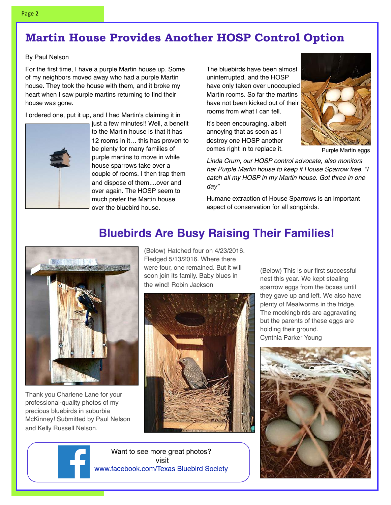### **Martin House Provides Another HOSP Control Option**

#### By Paul Nelson

For the first time, I have a purple Martin house up. Some of my neighbors moved away who had a purple Martin house. They took the house with them, and it broke my heart when I saw purple martins returning to find their house was gone.

I ordered one, put it up, and I had Martin's claiming it in



just a few minutes!! Well, a benefit to the Martin house is that it has 12 rooms in it… this has proven to be plenty for many families of purple martins to move in while house sparrows take over a couple of rooms. I then trap them and dispose of them....over and over again. The HOSP seem to much prefer the Martin house over the bluebird house.

The bluebirds have been almost uninterrupted, and the HOSP have only taken over unoccupied Martin rooms. So far the martins have not been kicked out of their rooms from what I can tell.

It's been encouraging, albeit annoying that as soon as I destroy one HOSP another comes right in to replace it.



Purple Martin eggs

*Linda Crum, our HOSP control advocate, also monitors her Purple Martin house to keep it House Sparrow free. "I catch all my HOSP in my Martin house. Got three in one day"*

Humane extraction of House Sparrows is an important aspect of conservation for all songbirds.

Thank you Charlene Lane for your professional-quality photos of my precious bluebirds in suburbia McKinney! Submitted by Paul Nelson and Kelly Russell Nelson.

(Below) Hatched four on 4/23/2016. Fledged 5/13/2016. Where there were four, one remained. But it will soon join its family. Baby blues in the wind! Robin Jackson

**Bluebirds Are Busy Raising Their Families!**



Want to see more great photos? visit www.facebook.com/Texas Bluebird Society

(Below) This is our first successful nest this year. We kept stealing sparrow eggs from the boxes until they gave up and left. We also have plenty of Mealworms in the fridge. The mockingbirds are aggravating but the parents of these eggs are holding their ground. Cynthia Parker Young

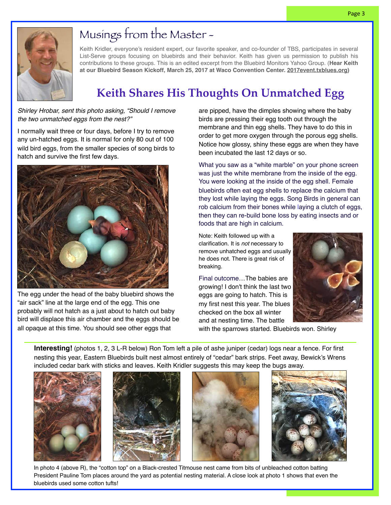

# Musings from the Master -

Keith Kridler, everyone's resident expert, our favorite speaker, and co-founder of TBS, participates in several List-Serve groups focusing on bluebirds and their behavior. Keith has given us permission to publish his contributions to these groups. This is an edited excerpt from the Bluebird Monitors Yahoo Group. (**Hear Keith at our Bluebird Season Kickoff, March 25, 2017 at Waco Convention Center. [2017event.txblues.org\)](http://2017event.txblues.org/)**

# **Keith Shares His Thoughts On Unmatched Egg**

*Shirley Hrobar, sent this photo asking, "Should I remove the two unmatched eggs from the nest?"* 

I normally wait three or four days, before I try to remove any un-hatched eggs. It is normal for only 80 out of 100 wild bird eggs, from the smaller species of song birds to hatch and survive the first few days.



The egg under the head of the baby bluebird shows the "air sack" line at the large end of the egg. This one probably will not hatch as a just about to hatch out baby bird will displace this air chamber and the eggs should be all opaque at this time. You should see other eggs that

are pipped, have the dimples showing where the baby birds are pressing their egg tooth out through the membrane and thin egg shells. They have to do this in order to get more oxygen through the porous egg shells. Notice how glossy, shiny these eggs are when they have been incubated the last 12 days or so.

What you saw as a "white marble" on your phone screen was just the white membrane from the inside of the egg. You were looking at the inside of the egg shell. Female bluebirds often eat egg shells to replace the calcium that they lost while laying the eggs. Song Birds in general can rob calcium from their bones while laying a clutch of eggs, then they can re-build bone loss by eating insects and or foods that are high in calcium.

Note: Keith followed up with a clarification. It is *not* necessary to remove unhatched eggs and usually he does not. There is great risk of breaking.

Final outcome…The babies are growing! I don't think the last two eggs are going to hatch. This is my first nest this year. The blues checked on the box all winter and at nesting time. The battle



with the sparrows started. Bluebirds won. Shirley

**Interesting!** (photos 1, 2, 3 L-R below) Ron Tom left a pile of ashe juniper (cedar) logs near a fence. For first nesting this year, Eastern Bluebirds built nest almost entirely of "cedar" bark strips. Feet away, Bewick's Wrens included cedar bark with sticks and leaves. Keith Kridler suggests this may keep the bugs away.









In photo 4 (above R), the "cotton top" on a Black-crested Titmouse nest came from bits of unbleached cotton batting President Pauline Tom places around the yard as potential nesting material. A close look at photo 1 shows that even the bluebirds used some cotton tufts!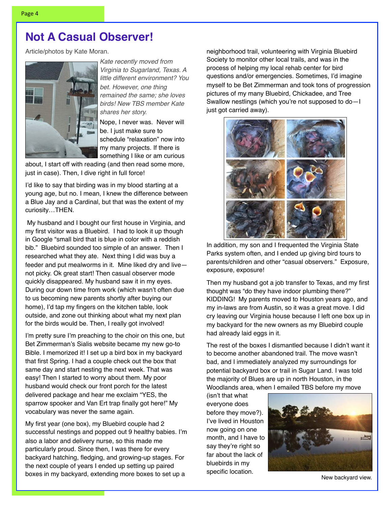Article/photos by Kate Moran.



*Kate recently moved from Virginia to Sugarland, Texas. A little different environment? You bet. However, one thing remained the same; she loves birds! New TBS member Kate shares her story.*

Nope, I never was. Never will be. I just make sure to schedule "relaxation" now into my many projects. If there is something I like or am curious

about, I start off with reading (and then read some more, just in case). Then, I dive right in full force!

I'd like to say that birding was in my blood starting at a young age, but no. I mean, I knew the difference between a Blue Jay and a Cardinal, but that was the extent of my curiosity…THEN.

 My husband and I bought our first house in Virginia, and my first visitor was a Bluebird. I had to look it up though in Google "small bird that is blue in color with a reddish bib." Bluebird sounded too simple of an answer. Then I researched what they ate. Next thing I did was buy a feeder and put mealworms in it. Mine liked dry and live not picky. Ok great start! Then casual observer mode quickly disappeared. My husband saw it in my eyes. During our down time from work (which wasn't often due to us becoming new parents shortly after buying our home), I'd tap my fingers on the kitchen table, look outside, and zone out thinking about what my next plan for the birds would be. Then, I really got involved!

I'm pretty sure I'm preaching to the choir on this one, but Bet Zimmerman's Sialis website became my new go-to Bible. I memorized it! I set up a bird box in my backyard that first Spring. I had a couple check out the box that same day and start nesting the next week. That was easy! Then I started to worry about them. My poor husband would check our front porch for the latest delivered package and hear me exclaim "YES, the sparrow spooker and Van Ert trap finally got here!" My vocabulary was never the same again.

My first year (one box), my Bluebird couple had 2 successful nestings and popped out 9 healthy babies. I'm also a labor and delivery nurse, so this made me particularly proud. Since then, I was there for every backyard hatching, fledging, and growing-up stages. For the next couple of years I ended up setting up paired boxes in my backyard, extending more boxes to set up a

neighborhood trail, volunteering with Virginia Bluebird Society to monitor other local trails, and was in the process of helping my local rehab center for bird questions and/or emergencies. Sometimes, I'd imagine myself to be Bet Zimmerman and took tons of progression pictures of my many Bluebird, Chickadee, and Tree Swallow nestlings (which you're not supposed to do—I just got carried away).



In addition, my son and I frequented the Virginia State Parks system often, and I ended up giving bird tours to parents/children and other "casual observers." Exposure, exposure, exposure!

Then my husband got a job transfer to Texas, and my first thought was "do they have indoor plumbing there?" KIDDING! My parents moved to Houston years ago, and my in-laws are from Austin, so it was a great move. I did cry leaving our Virginia house because I left one box up in my backyard for the new owners as my Bluebird couple had already laid eggs in it.

The rest of the boxes I dismantled because I didn't want it to become another abandoned trail. The move wasn't bad, and I immediately analyzed my surroundings for potential backyard box or trail in Sugar Land. I was told the majority of Blues are up in north Houston, in the Woodlands area, when I emailed TBS before my move

(isn't that what everyone does before they move?). I've lived in Houston now going on one month, and I have to say they're right so far about the lack of bluebirds in my specific location.



New backyard view.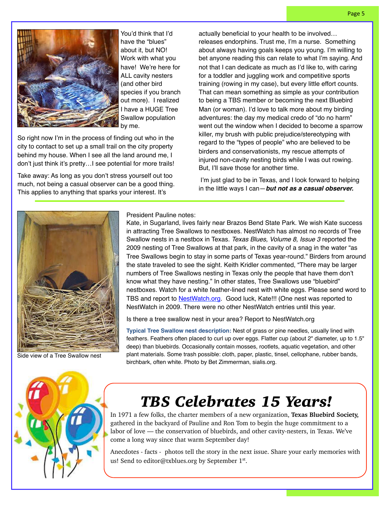

You'd think that I'd have the "blues" about it, but NO! Work with what you have! We're here for ALL cavity nesters (and other bird species if you branch out more). I realized I have a HUGE Tree Swallow population by me.

So right now I'm in the process of finding out who in the city to contact to set up a small trail on the city property behind my house. When I see all the land around me, I don't just think it's pretty…I see potential for more trails!

Take away: As long as you don't stress yourself out too much, not being a casual observer can be a good thing. This applies to anything that sparks your interest. It's

actually beneficial to your health to be involved… releases endorphins. Trust me, I'm a nurse. Something about always having goals keeps you young. I'm willing to bet anyone reading this can relate to what I'm saying. And not that I can dedicate as much as I'd like to, with caring for a toddler and juggling work and competitive sports training (rowing in my case), but every little effort counts. That can mean something as simple as your contribution to being a TBS member or becoming the next Bluebird Man (or woman). I'd love to talk more about my birding adventures: the day my medical credo of "do no harm" went out the window when I decided to become a sparrow killer, my brush with public prejudice/stereotyping with regard to the "types of people" who are believed to be birders and conservationists, my rescue attempts of injured non-cavity nesting birds while I was out rowing. But, I'll save those for another time.

 I'm just glad to be in Texas, and I look forward to helping in the little ways I can—*but not as a casual observer.*



Side view of a Tree Swallow nest

#### President Pauline notes:

Kate, in Sugarland, lives fairly near Brazos Bend State Park. We wish Kate success in attracting Tree Swallows to nestboxes. NestWatch has almost no records of Tree Swallow nests in a nestbox in Texas. *Texas Blues, Volume 8, Issue 3* reported the 2009 nesting of Tree Swallows at that park, in the cavity of a snag in the water "as Tree Swallows begin to stay in some parts of Texas year-round." Birders from around the state traveled to see the sight. Keith Kridler commented, "There may be larger numbers of Tree Swallows nesting in Texas only the people that have them don't know what they have nesting." In other states, Tree Swallows use "bluebird" nestboxes. Watch for a white feather-lined nest with white eggs. Please send word to TBS and report to [NestWatch.org.](http://nestwatch.org/) Good luck, Kate!!! (One nest was reported to NestWatch in 2009. There were no other NestWatch entries until this year.

Is there a tree swallow nest in your area? Report to NestWatch.org

**Typical Tree Swallow nest description:** Nest of grass or pine needles, usually lined with feathers. Feathers often placed to curl up over eggs. Flatter cup (about 2" diameter, up to 1.5" deep) than bluebirds. Occasionally contain mosses, rootlets, aquatic vegetation, and other plant materials. Some trash possible: cloth, paper, plastic, tinsel, cellophane, rubber bands, birchbark, often white. Photo by Bet Zimmerman, sialis.org.



# *TBS Celebrates 15 Years!*

In 1971 a few folks, the charter members of a new organization, **Texas Bluebird Society,** gathered in the backyard of Pauline and Ron Tom to begin the huge commitment to a labor of love — the conservation of bluebirds, and other cavity-nesters, in Texas. We've come a long way since that warm September day!

Anecdotes - facts - photos tell the story in the next issue. Share your early memories with us! Send to editor@txblues.org by September  $1<sup>st</sup>$ .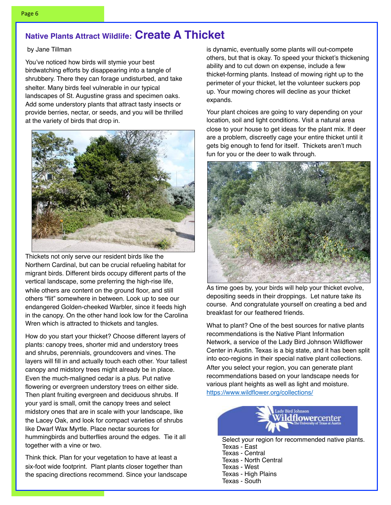#### **Native Plants Attract Wildlife: Create A Thicket**

#### by Jane Tillman

You've noticed how birds will stymie your best birdwatching efforts by disappearing into a tangle of shrubbery. There they can forage undisturbed, and take shelter. Many birds feel vulnerable in our typical landscapes of St. Augustine grass and specimen oaks. Add some understory plants that attract tasty insects or provide berries, nectar, or seeds, and you will be thrilled at the variety of birds that drop in.



Thickets not only serve our resident birds like the Northern Cardinal, but can be crucial refueling habitat for migrant birds. Different birds occupy different parts of the vertical landscape, some preferring the high-rise life, while others are content on the ground floor, and still others "flit" somewhere in between. Look up to see our endangered Golden-cheeked Warbler, since it feeds high in the canopy. On the other hand look low for the Carolina Wren which is attracted to thickets and tangles.

How do you start your thicket? Choose different layers of plants: canopy trees, shorter mid and understory trees and shrubs, perennials, groundcovers and vines. The layers will fill in and actually touch each other. Your tallest canopy and midstory trees might already be in place. Even the much-maligned cedar is a plus. Put native flowering or evergreen understory trees on either side. Then plant fruiting evergreen and deciduous shrubs. If your yard is small, omit the canopy trees and select midstory ones that are in scale with your landscape, like the Lacey Oak, and look for compact varieties of shrubs like Dwarf Wax Myrtle. Place nectar sources for hummingbirds and butterflies around the edges. Tie it all together with a vine or two.

Think thick. Plan for your vegetation to have at least a six-foot wide footprint. Plant plants closer together than the spacing directions recommend. Since your landscape

is dynamic, eventually some plants will out-compete others, but that is okay. To speed your thicket's thickening ability and to cut down on expense, include a few thicket-forming plants. Instead of mowing right up to the perimeter of your thicket, let the volunteer suckers pop up. Your mowing chores will decline as your thicket expands.

Your plant choices are going to vary depending on your location, soil and light conditions. Visit a natural area close to your house to get ideas for the plant mix. If deer are a problem, discreetly cage your entire thicket until it gets big enough to fend for itself. Thickets aren't much fun for you or the deer to walk through.



As time goes by, your birds will help your thicket evolve, depositing seeds in their droppings. Let nature take its course. And congratulate yourself on creating a bed and breakfast for our feathered friends.

What to plant? One of the best sources for native plants recommendations is the Native Plant Information Network, a service of the Lady Bird Johnson Wildflower Center in Austin. Texas is a big state, and it has been split into eco-regions in their special native plant collections. After you select your region, you can generate plant recommendations based on your landscape needs for various plant heights as well as light and moisture. <https://www.wildflower.org/collections/>

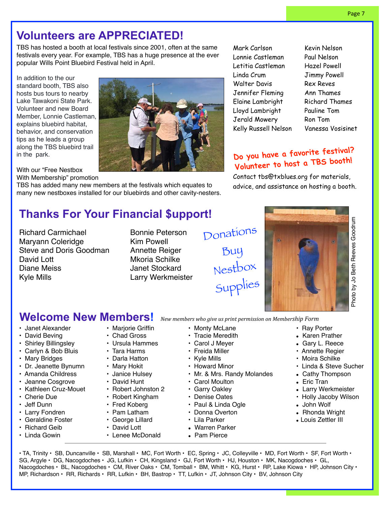#### **Volunteers are APPRECIATED!**

TBS has hosted a booth at local festivals since 2001, often at the same festivals every year. For example, TBS has a huge presence at the ever popular Wills Point Bluebird Festival held in April.

In addition to the our standard booth, TBS also hosts bus tours to nearby Lake Tawakoni State Park. Volunteer and new Board Member, Lonnie Castleman, explains bluebird habitat, behavior, and conservation tips as he leads a group along the TBS bluebird trail in the park.

With our "Free Nestbox With Membership" promotion

TBS has added many new members at the festivals which equates to many new nestboxes installed for our bluebirds and other cavity-nesters.

Mark Carlson Lonnie Castleman Letitia Castleman Linda Crum Walter Davis Jennifer Fleming Elaine Lambright Lloyd Lambright Jerald Mowery Kelly Russell Nelson

Kevin Nelson Paul Nelson Hazel Powell Jimmy Powell Rex Reves Ann Thames Richard Thames Pauline Tom Ron Tom Vanessa Vosisinet

#### **Do you have a favorite festival? Volunteer to host a TBS booth!**

Contact tbs@txblues.org for materials, advice, and assistance on hosting a booth.

## **Thanks For Your Financial \$upport!**

Richard Carmichael Maryann Coleridge Steve and Doris Goodman David Lott Diane Meiss Kyle Mills

Bonnie Peterson Kim Powell Annette Reiger Mkoria Schilke Janet Stockard Larry Werkmeister Donations Buy Nestbox Supplies



#### Welcome New Members! New members who give us print permission on Membership Form

- Janet Alexander
- David Beving
- Shirley Billingsley
- Carlyn & Bob Bluis
- Mary Bridges
- Dr. Jeanette Bynumn
- Amanda Childress
- Jeanne Cosgrove
- Kathleen Cruz-Mouet
- Cherie Due
- Jeff Dunn
- Larry Fondren
- Geraldine Foster
- Richard Geib
- Linda Gowin
- Marjorie Griffin
- Chad Gross
- Ursula Hammes
- Tara Harms
- Darla Hatton
- 
- Mary Hokit
- Janice Hulsey
- David Hunt
- Robert Johnston 2
- Robert Kingham
- Fred Koberg
- Pam Latham
- George Lillard
- David Lott • Lenee McDonald
- -
	- Lila Parker
	- Warren Parker
	- Pam Pierce
- Ray Porter
- Karen Prather
- Gary L. Reece
- Annette Regier
- Moira Schilke
- Linda & Steve Sucher
- Cathy Thompson
- Eric Tran
- Larry Werkmeister
- Holly Jacoby Wilson
- John Wolf
- Rhonda Wright
- Louis Zettler III

 $\cdot$  TA, Trinity  $\cdot$  SB, Duncanville  $\cdot$  SB, Marshall  $\cdot$  MC, Fort Worth  $\cdot$  EC, Spring  $\cdot$  JC, Colleyville  $\cdot$  MD, Fort Worth  $\cdot$  SF, Fort Worth  $\cdot$ SG, Argyle • DG, Nacogdoches • JG, Lufkin • CH, Kingsland • GJ, Fort Worth • HJ, Houston • MK, Nacogdoches • GL, Nacogdoches • BL, Nacogdoches • CM, River Oaks • CM, Tomball • BM, Whitt • KG, Hurst • RP, Lake Kiowa • HP, Johnson City • MP, Richardson • RR, Richards • RR, Lufkin • BH, Bastrop • TT, Lufkin • JT, Johnson City • BV, Johnson City

#### • Tracie Meredith • Carol J Meyer

• Monty McLane

- Kyle Mills
- Howard Minor
- Mr. & Mrs. Randy Molandes
- Carol Moulton
- Garry Oakley
- 
- 
- 
- 
- 
- 

- 
- 
- 
- 
- 
- 
- 
- 
- Denise Oates • Paul & Linda Ogle
	- Donna Overton
		-
	- -

• Freida Miller

- 
- -
- 
- 
- 
-